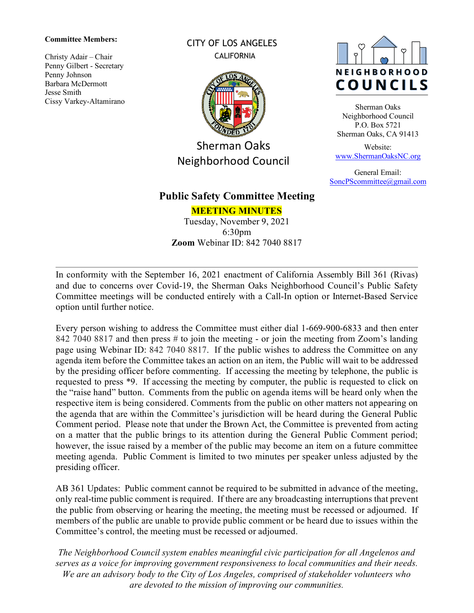#### **Committee Members:**

Christy Adair – Chair Penny Gilbert - Secretary Penny Johnson Barbara McDermott Jesse Smith Cissy Varkey-Altamirano CITY OF LOS ANGELES **CALIFORNIA** 



Sherman Oaks Neighborhood Council



Sherman Oaks Neighborhood Council P.O. Box 5721 Sherman Oaks, CA 91413

Website: [www.ShermanOaksNC.org](http://www.shermanoaksnc.org/)

General Email: [SoncPScommittee@gmail.com](mailto:SoncPScommittee@gmail.com)

## **Public Safety Committee Meeting**

**MEETING MINUTES** Tuesday, November 9, 2021 6:30pm **Zoom** Webinar ID: 842 7040 8817

In conformity with the September 16, 2021 enactment of California Assembly Bill 361 (Rivas) and due to concerns over Covid-19, the Sherman Oaks Neighborhood Council's Public Safety Committee meetings will be conducted entirely with a Call-In option or Internet-Based Service option until further notice.

Every person wishing to address the Committee must either dial 1-669-900-6833 and then enter 842 7040 8817 and then press # to join the meeting - or join the meeting from Zoom's landing page using Webinar ID: 842 7040 8817. If the public wishes to address the Committee on any agenda item before the Committee takes an action on an item, the Public will wait to be addressed by the presiding officer before commenting. If accessing the meeting by telephone, the public is requested to press \*9. If accessing the meeting by computer, the public is requested to click on the "raise hand" button. Comments from the public on agenda items will be heard only when the respective item is being considered. Comments from the public on other matters not appearing on the agenda that are within the Committee's jurisdiction will be heard during the General Public Comment period. Please note that under the Brown Act, the Committee is prevented from acting on a matter that the public brings to its attention during the General Public Comment period; however, the issue raised by a member of the public may become an item on a future committee meeting agenda. Public Comment is limited to two minutes per speaker unless adjusted by the presiding officer.

AB 361 Updates: Public comment cannot be required to be submitted in advance of the meeting, only real-time public comment is required. If there are any broadcasting interruptions that prevent the public from observing or hearing the meeting, the meeting must be recessed or adjourned. If members of the public are unable to provide public comment or be heard due to issues within the Committee's control, the meeting must be recessed or adjourned.

*The Neighborhood Council system enables meaningful civic participation for all Angelenos and serves as a voice for improving government responsiveness to local communities and their needs. We are an advisory body to the City of Los Angeles, comprised of stakeholder volunteers who are devoted to the mission of improving our communities.*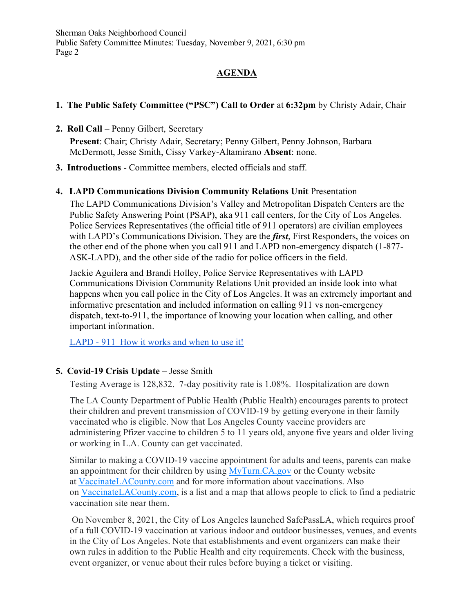## **AGENDA**

## **1. The Public Safety Committee ("PSC") Call to Order** at **6:32pm** by Christy Adair, Chair

**2. Roll Call** – Penny Gilbert, Secretary

**Present**: Chair; Christy Adair, Secretary; Penny Gilbert, Penny Johnson, Barbara McDermott, Jesse Smith, Cissy Varkey-Altamirano **Absent**: none.

**3. Introductions** - Committee members, elected officials and staff.

## **4. LAPD Communications Division Community Relations Unit** Presentation

The LAPD Communications Division's Valley and Metropolitan Dispatch Centers are the Public Safety Answering Point (PSAP), aka 911 call centers, for the City of Los Angeles. Police Services Representatives (the official title of 911 operators) are civilian employees with LAPD's Communications Division. They are the *first*, First Responders, the voices on the other end of the phone when you call 911 and LAPD non-emergency dispatch (1-877- ASK-LAPD), and the other side of the radio for police officers in the field.

Jackie Aguilera and Brandi Holley, Police Service Representatives with LAPD Communications Division Community Relations Unit provided an inside look into what happens when you call police in the City of Los Angeles. It was an extremely important and informative presentation and included information on calling 911 vs non-emergency dispatch, text-to-911, the importance of knowing your location when calling, and other important information.

[LAPD - 911 How it works and when to use it!](https://www.youtube.com/watch?v=8BXedvLpCd8)

## **5. Covid-19 Crisis Update** – Jesse Smith

Testing Average is 128,832. 7-day positivity rate is 1.08%. Hospitalization are down

The LA County Department of Public Health (Public Health) encourages parents to protect their children and prevent transmission of COVID-19 by getting everyone in their family vaccinated who is eligible. Now that Los Angeles County vaccine providers are administering Pfizer vaccine to children 5 to 11 years old, anyone five years and older living or working in L.A. County can get vaccinated.

Similar to making a COVID-19 vaccine appointment for adults and teens, parents can make an appointment for their children by using [MyTurn.CA.gov](https://myturn.ca.gov/) or the County website at [VaccinateLACounty.com](http://www.vaccinatelacounty.com/) and for more information about vaccinations. Also on [VaccinateLACounty.com,](http://www.vaccinatelacounty.com/) is a list and a map that allows people to click to find a pediatric vaccination site near them.

On November 8, 2021, the City of Los Angeles launched SafePassLA, which requires proof of a full COVID-19 vaccination at various indoor and outdoor businesses, venues, and events in the City of Los Angeles. Note that establishments and event organizers can make their own rules in addition to the Public Health and city requirements. Check with the business, event organizer, or venue about their rules before buying a ticket or visiting.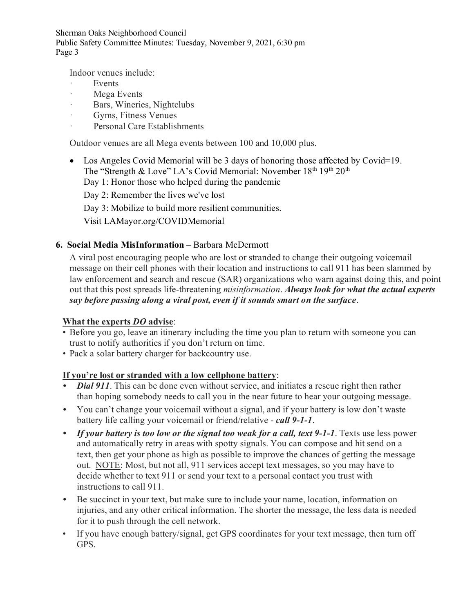Indoor venues include:

- **Events**
- · Mega Events
- Bars, Wineries, Nightclubs
- Gyms, Fitness Venues
- · Personal Care Establishments

Outdoor venues are all Mega events between 100 and 10,000 plus.

- Los Angeles Covid Memorial will be 3 days of honoring those affected by Covid=19. The "Strength & Love" LA's Covid Memorial: November  $18<sup>th</sup> 19<sup>th</sup> 20<sup>th</sup>$ 
	- Day 1: Honor those who helped during the pandemic

Day 2: Remember the lives we've lost

Day 3: Mobilize to build more resilient communities.

Visit LAMayor.org/COVIDMemorial

## **6. Social Media MisInformation** – Barbara McDermott

A viral post encouraging people who are lost or stranded to change their outgoing voicemail message on their cell phones with their location and instructions to call 911 has been slammed by law enforcement and search and rescue (SAR) organizations who warn against doing this, and point out that this post spreads life-threatening *misinformation*. *Always look for what the actual experts say before passing along a viral post, even if it sounds smart on the surface*.

## **What the experts** *DO* **advise**:

- Before you go, leave an itinerary including the time you plan to return with someone you can trust to notify authorities if you don't return on time.
- Pack a solar battery charger for backcountry use.

## **If you're lost or stranded with a low cellphone battery**:

- *Dial 911*. This can be done [even without service,](https://www.911.gov/frequently_asked_questions.html) and initiates a rescue right then rather than hoping somebody needs to call you in the near future to hear your outgoing message.
- *•* You can't change your voicemail without a signal, and if your battery is low don't waste battery life calling your voicemail or friend/relative - *call 9-1-1*.
- *• If your battery is too low or the signal too weak for a call, text 9-1-1*. Texts use less power and automatically retry in areas with spotty signals. You can compose and hit send on a text, then get your phone as high as possible to improve the chances of getting the message out. NOTE: Most, but not all, 911 services accept text messages, so you may have to decide whether to text 911 or send your text to a personal contact you trust with instructions to call 911.
- *•* Be succinct in your text, but make sure to include your name, location, information on injuries, and any other critical information. The shorter the message, the less data is needed for it to push through the cell network.
- If you have enough battery/signal, get GPS coordinates for your text message, then turn off GPS.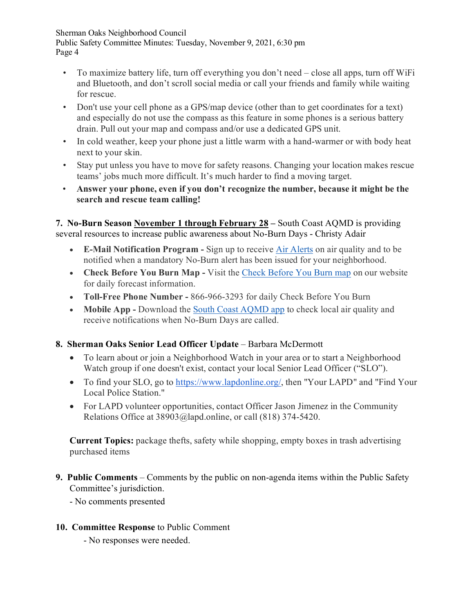- To maximize battery life, turn off everything you don't need close all apps, turn off WiFi and Bluetooth, and don't scroll social media or call your friends and family while waiting for rescue.
- Don't use your cell phone as a GPS/map device (other than to get coordinates for a text) and especially do not use the compass as this feature in some phones is a serious battery drain. Pull out your map and compass and/or use a dedicated GPS unit.
- In cold weather, keep your phone just a little warm with a hand-warmer or with body heat next to your skin.
- Stay put unless you have to move for safety reasons. Changing your location makes rescue teams' jobs much more difficult. It's much harder to find a moving target.
- **Answer your phone, even if you don't recognize the number, because it might be the search and rescue team calling!**

**7. No-Burn Season November 1 through February 28 –** South Coast AQMD is providing several resources to increase public awareness about No-Burn Days - Christy Adair

- **E-Mail Notification Program** Sign up to receive Air [Alerts](http://airalerts.org/) on air quality and to be notified when a mandatory No-Burn alert has been issued for your neighborhood.
- **Check Before You Burn Map** Visit the [Check Before You Burn map](https://scaqmd-online.maps.arcgis.com/apps/webappviewer/index.html?id=5c84b18f052e4503b78a1b1932655e67) on our website for daily forecast information.
- **Toll-Free Phone Number** 866-966-3293 for daily Check Before You Burn
- **Mobile App -** Download the [South Coast AQMD](http://www.aqmd.gov/mobileapp) app to check local air quality and receive notifications when No-Burn Days are called.

# **8. Sherman Oaks Senior Lead Officer Update** – Barbara McDermott

- To learn about or join a Neighborhood Watch in your area or to start a Neighborhood Watch group if one doesn't exist, contact your local Senior Lead Officer ("SLO").
- To find your SLO, go to [https://www.lapdonline.org/,](https://www.lapdonline.org/) then "Your LAPD" and "Find Your Local Police Station."
- For LAPD volunteer opportunities, contact Officer Jason Jimenez in the Community Relations Office at 38903@lapd.online, or call (818) 374-5420.

**Current Topics:** package thefts, safety while shopping, empty boxes in trash advertising purchased items

**9. Public Comments** – Comments by the public on non-agenda items within the Public Safety Committee's jurisdiction.

- No comments presented

# **10. Committee Response** to Public Comment

- No responses were needed.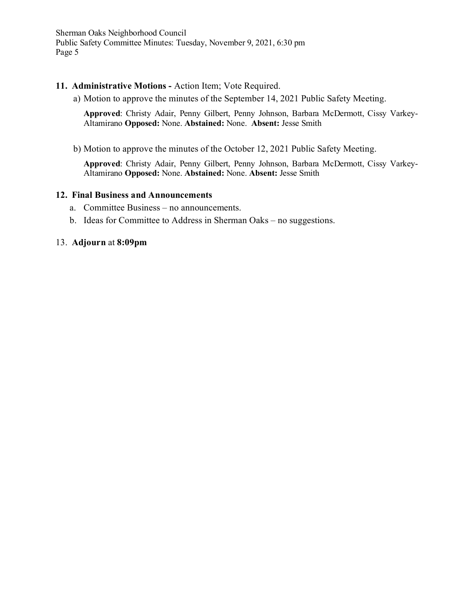#### **11. Administrative Motions -** Action Item; Vote Required.

a) Motion to approve the minutes of the September 14, 2021 Public Safety Meeting.

**Approved**: Christy Adair, Penny Gilbert, Penny Johnson, Barbara McDermott, Cissy Varkey-Altamirano **Opposed:** None. **Abstained:** None. **Absent:** Jesse Smith

b) Motion to approve the minutes of the October 12, 2021 Public Safety Meeting.

**Approved**: Christy Adair, Penny Gilbert, Penny Johnson, Barbara McDermott, Cissy Varkey-Altamirano **Opposed:** None. **Abstained:** None. **Absent:** Jesse Smith

#### **12. Final Business and Announcements**

- a. Committee Business no announcements.
- b. Ideas for Committee to Address in Sherman Oaks no suggestions.

#### 13. **Adjourn** at **8:09pm**